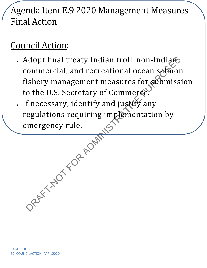## Agenda Item E.9 2020 Management Measures Final Action

## Council Action:

- Ndopt final treaty Indian troll, non-Indiano<br>
commercial, and recreational ocean saffron<br>
ishery management measures for submissi<br>
o the U.S. Secretary of Commerce.<br>
f necessary, identify and justify any<br>
regulations requi • Adopt final treaty Indian troll, non-Indian commercial, and recreational ocean salmon fishery management measures for submission to the U.S. Secretary of Commerce.
- If necessary, identify and justify any regulations requiring implementation by emergency rule.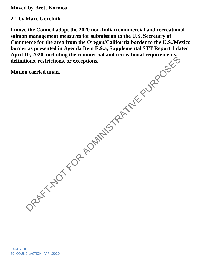**Moved by Brett Kormos**

**2nd by Marc Gorelnik**

ORAFT-NOT FOR ADMINISTRATIVE PURPOSES **I move the Council adopt the 2020 non-Indian commercial and recreational salmon management measures for submission to the U.S. Secretary of Commerce for the area from the Oregon/California border to the U.S./Mexico border as presented in Agenda Item E.9.a, Supplemental STT Report 1 dated April 10, 2020, including the commercial and recreational requirements, definitions, restrictions, or exceptions.**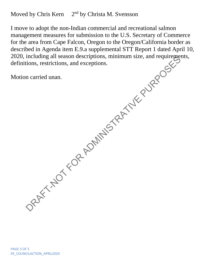Moved by Chris Kern  $2<sup>nd</sup>$  by Christa M. Svensson

2020, including all season descriptions, minimum size, and requirements, definitions, restrictions, and exceptions.<br>
Motion carried unan.<br>
Motion carried unan.<br>  $\frac{1}{2}$ <br>  $\frac{1}{2}$ <br>  $\frac{1}{2}$ <br>  $\frac{1}{2}$ <br>  $\frac{1}{2}$ <br>  $\frac{1$ I move to adopt the non-Indian commercial and recreational salmon management measures for submission to the U.S. Secretary of Commerce for the area from Cape Falcon, Oregon to the Oregon/California border as described in Agenda item E.9.a supplemental STT Report 1 dated April 10, definitions, restrictions, and exceptions.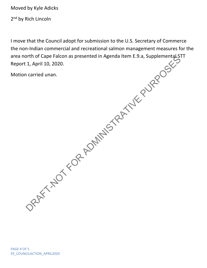Moved by Kyle Adicks

2<sup>nd</sup> by Rich Lincoln

DRAFT-NOT FOR ADMINISTRATIVE PURPOSES I move that the Council adopt for submission to the U.S. Secretary of Commerce the non-Indian commercial and recreational salmon management measures for the area north of Cape Falcon as presented in Agenda Item E.9.a, Supplemental STT Report 1, April 10, 2020.